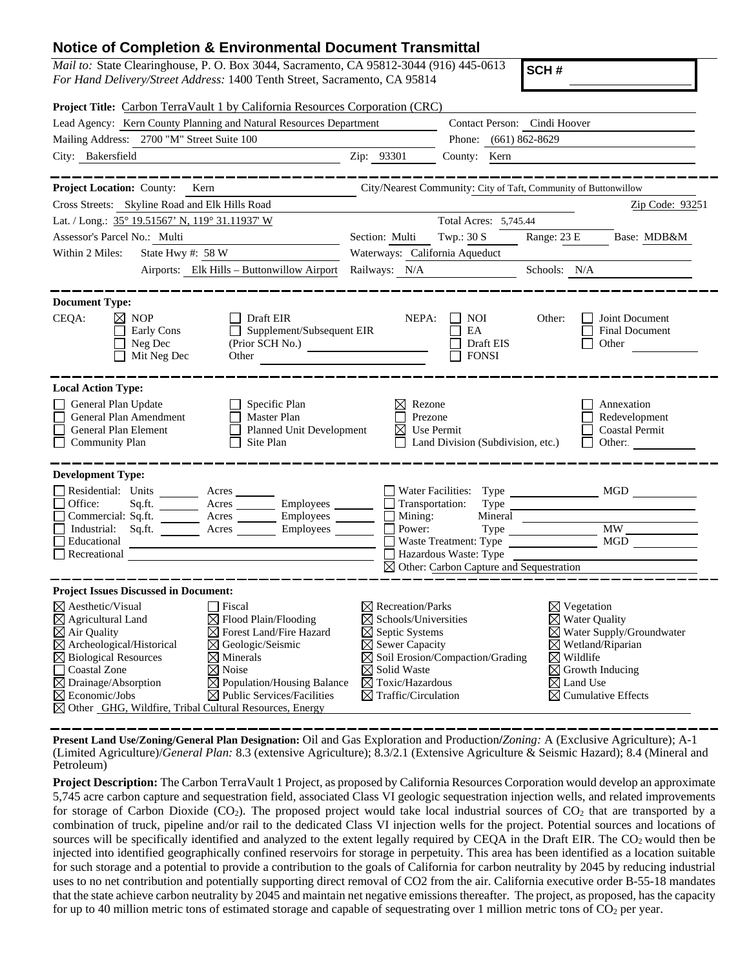## **Notice of Completion & Environmental Document Transmittal**

*Mail to:* State Clearinghouse, P. O. Box 3044, Sacramento, CA 95812-3044 (916) 445-0613 *For Hand Delivery/Street Address:* 1400 Tenth Street, Sacramento, CA 95814

**SCH #**

|                                                                                                                                                           |                                                                                                            | Project Title: Carbon TerraVault 1 by California Resources Corporation (CRC)                                                                                                                                                                                                                                                                                                                                                                                                                                 |                                                                                                                                                                                                                           |                                                                                                       |                                                                                                     |                                                                                                                                       |
|-----------------------------------------------------------------------------------------------------------------------------------------------------------|------------------------------------------------------------------------------------------------------------|--------------------------------------------------------------------------------------------------------------------------------------------------------------------------------------------------------------------------------------------------------------------------------------------------------------------------------------------------------------------------------------------------------------------------------------------------------------------------------------------------------------|---------------------------------------------------------------------------------------------------------------------------------------------------------------------------------------------------------------------------|-------------------------------------------------------------------------------------------------------|-----------------------------------------------------------------------------------------------------|---------------------------------------------------------------------------------------------------------------------------------------|
|                                                                                                                                                           |                                                                                                            | Lead Agency: Kern County Planning and Natural Resources Department                                                                                                                                                                                                                                                                                                                                                                                                                                           | Contact Person: Cindi Hoover                                                                                                                                                                                              |                                                                                                       |                                                                                                     |                                                                                                                                       |
|                                                                                                                                                           | Mailing Address: 2700 "M" Street Suite 100                                                                 |                                                                                                                                                                                                                                                                                                                                                                                                                                                                                                              |                                                                                                                                                                                                                           | Phone: (661) 862-8629                                                                                 |                                                                                                     |                                                                                                                                       |
| City: Bakersfield<br><u> 1980 - Johann Barn, fransk politik (</u>                                                                                         |                                                                                                            |                                                                                                                                                                                                                                                                                                                                                                                                                                                                                                              | Zip: 93301                                                                                                                                                                                                                | County: Kern                                                                                          |                                                                                                     |                                                                                                                                       |
|                                                                                                                                                           |                                                                                                            | __________                                                                                                                                                                                                                                                                                                                                                                                                                                                                                                   |                                                                                                                                                                                                                           |                                                                                                       |                                                                                                     |                                                                                                                                       |
|                                                                                                                                                           | Project Location: County: Kern                                                                             |                                                                                                                                                                                                                                                                                                                                                                                                                                                                                                              |                                                                                                                                                                                                                           | City/Nearest Community: City of Taft, Community of Buttonwillow                                       |                                                                                                     |                                                                                                                                       |
|                                                                                                                                                           | Cross Streets: Skyline Road and Elk Hills Road                                                             |                                                                                                                                                                                                                                                                                                                                                                                                                                                                                                              |                                                                                                                                                                                                                           |                                                                                                       |                                                                                                     | Zip Code: 93251                                                                                                                       |
|                                                                                                                                                           | Lat. / Long.: 35° 19.51567' N, 119° 31.11937' W                                                            |                                                                                                                                                                                                                                                                                                                                                                                                                                                                                                              |                                                                                                                                                                                                                           | Total Acres: 5,745.44                                                                                 |                                                                                                     |                                                                                                                                       |
| Assessor's Parcel No.: Multi                                                                                                                              |                                                                                                            |                                                                                                                                                                                                                                                                                                                                                                                                                                                                                                              | Section: Multi                                                                                                                                                                                                            | Twp.: $30 S$                                                                                          | Range: 23 E                                                                                         | Base: MDB&M                                                                                                                           |
| Within 2 Miles:                                                                                                                                           |                                                                                                            |                                                                                                                                                                                                                                                                                                                                                                                                                                                                                                              | Waterways: California Aqueduct                                                                                                                                                                                            |                                                                                                       |                                                                                                     |                                                                                                                                       |
|                                                                                                                                                           |                                                                                                            | Airports: Elk Hills - Buttonwillow Airport Railways: N/A                                                                                                                                                                                                                                                                                                                                                                                                                                                     |                                                                                                                                                                                                                           |                                                                                                       | Schools: N/A                                                                                        |                                                                                                                                       |
|                                                                                                                                                           |                                                                                                            |                                                                                                                                                                                                                                                                                                                                                                                                                                                                                                              |                                                                                                                                                                                                                           |                                                                                                       |                                                                                                     |                                                                                                                                       |
| <b>Document Type:</b>                                                                                                                                     |                                                                                                            |                                                                                                                                                                                                                                                                                                                                                                                                                                                                                                              |                                                                                                                                                                                                                           |                                                                                                       |                                                                                                     |                                                                                                                                       |
| CEQA:                                                                                                                                                     | $\boxtimes$ NOP<br>Early Cons<br>$\Box$ Neg Dec<br>$\Box$ Mit Neg Dec                                      | Draft EIR<br>$\Box$ Supplement/Subsequent EIR<br>$(Prior \tilde{SCH No.})$<br>Other                                                                                                                                                                                                                                                                                                                                                                                                                          | NEPA:                                                                                                                                                                                                                     | <b>NOI</b><br>$\perp$<br>EA<br>Draft EIS<br><b>FONSI</b>                                              | Other:                                                                                              | Joint Document<br>Final Document<br>Other                                                                                             |
| <b>Local Action Type:</b>                                                                                                                                 | General Plan Update<br>General Plan Amendment<br>General Plan Element<br><b>Community Plan</b>             | Specific Plan<br>Master Plan<br><b>Planned Unit Development</b><br>Site Plan                                                                                                                                                                                                                                                                                                                                                                                                                                 | ⊠<br>Rezone<br>Prezone<br>⊠                                                                                                                                                                                               | Use Permit<br>Land Division (Subdivision, etc.)                                                       |                                                                                                     | Annexation<br>Redevelopment<br><b>Coastal Permit</b><br>Other:                                                                        |
| <b>Development Type:</b><br>Educational                                                                                                                   |                                                                                                            | Residential: Units _______ Acres ________ Employees ________<br>  Office: Sq.ft. _______ Acres _______ Employees _______<br>Commercial: Sq.ft.<br><b>Commercial: Sq.ft.</b><br><b>Commercial: Sq.ft.</b><br><b>Commercial: Sq.ft.</b><br><b>Commercial: Sq.ft.</b><br><b>Commercial: Sq.ft.</b><br><b>Commercial: Sq.ft.</b><br><b>Commercial: Sq.ft.</b><br><b>Commercial: Sq.ft.</b><br><b>Commercial: </b><br><u> 1989 - Johann Barn, fransk politik formuler (d. 1989)</u><br>$\Box$ Recreational $\Box$ | $\Box$ Transportation:<br>$\Box$ Mining:<br>$\Box$ Power:                                                                                                                                                                 | Waste Treatment: Type<br>Hazardous Waste: Type<br>$\boxtimes$ Other: Carbon Capture and Sequestration |                                                                                                     | Type<br>$Mineral$ $\overline{\phantom{min}}$                                                                                          |
|                                                                                                                                                           | <b>Project Issues Discussed in Document:</b>                                                               |                                                                                                                                                                                                                                                                                                                                                                                                                                                                                                              |                                                                                                                                                                                                                           |                                                                                                       |                                                                                                     |                                                                                                                                       |
| $\boxtimes$ Aesthetic/Visual<br>$\boxtimes$ Agricultural Land<br>$\boxtimes$ Air Quality<br><b>Coastal Zone</b><br>$\boxtimes$<br>⊠<br>Economic/Jobs<br>⊠ | $\overline{\boxtimes}$ Archeological/Historical<br>$\boxtimes$ Biological Resources<br>Drainage/Absorption | T Fiscal<br>$\boxtimes$ Flood Plain/Flooding<br>$\boxtimes$ Forest Land/Fire Hazard<br>$\boxtimes$ Geologic/Seismic<br>$\boxtimes$ Minerals<br>$\boxtimes$ Noise<br>$\boxtimes$ Population/Housing Balance<br>$\boxtimes$ Public Services/Facilities<br>Other GHG, Wildfire, Tribal Cultural Resources, Energy                                                                                                                                                                                               | $\boxtimes$ Recreation/Parks<br>$\boxtimes$ Schools/Universities<br>$\boxtimes$ Septic Systems<br>$\boxtimes$ Sewer Capacity<br>$\boxtimes$ Solid Waste<br>$\boxtimes$ Toxic/Hazardous<br>$\boxtimes$ Traffic/Circulation | $\boxtimes$ Soil Erosion/Compaction/Grading                                                           | $\boxtimes$ Vegetation<br>$\boxtimes$ Water Quality<br>$\boxtimes$ Wildlife<br>$\boxtimes$ Land Use | $\boxtimes$ Water Supply/Groundwater<br>$\boxtimes$ Wetland/Riparian<br>$\boxtimes$ Growth Inducing<br>$\boxtimes$ Cumulative Effects |

**Present Land Use/Zoning/General Plan Designation:** Oil and Gas Exploration and Production**/***Zoning:* A (Exclusive Agriculture); A-1 (Limited Agriculture)/*General Plan:* 8.3 (extensive Agriculture); 8.3/2.1 (Extensive Agriculture & Seismic Hazard); 8.4 (Mineral and Petroleum)

**Project Description:** The Carbon TerraVault 1 Project, as proposed by California Resources Corporation would develop an approximate 5,745 acre carbon capture and sequestration field, associated Class VI geologic sequestration injection wells, and related improvements for storage of Carbon Dioxide  $(CO_2)$ . The proposed project would take local industrial sources of  $CO_2$  that are transported by a combination of truck, pipeline and/or rail to the dedicated Class VI injection wells for the project. Potential sources and locations of sources will be specifically identified and analyzed to the extent legally required by CEQA in the Draft EIR. The CO<sub>2</sub> would then be injected into identified geographically confined reservoirs for storage in perpetuity. This area has been identified as a location suitable for such storage and a potential to provide a contribution to the goals of California for carbon neutrality by 2045 by reducing industrial uses to no net contribution and potentially supporting direct removal of CO2 from the air. California executive order B-55-18 mandates that the state achieve carbon neutrality by 2045 and maintain net negative emissions thereafter. The project, as proposed, has the capacity for up to 40 million metric tons of estimated storage and capable of sequestrating over 1 million metric tons of  $CO<sub>2</sub>$  per year.